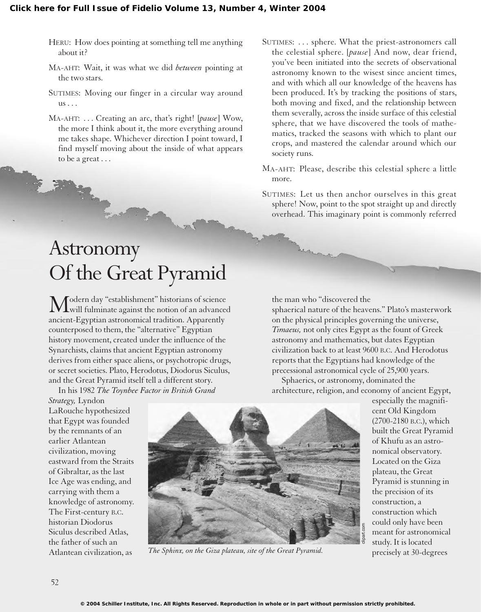- HERU: How does pointing at something tell me anything about it?
- MA-AHT: Wait, it was what we did *between* pointing at the two stars.
- SUTIMES: Moving our finger in a circular way around us . . .
- MA-AHT: . . . Creating an arc, that's right! [*pause*] Wow, the more I think about it, the more everything around me takes shape. Whichever direction I point toward, I find myself moving about the inside of what appears to be a great . . .

## Astronomy Of the Great Pyramid

Modern day "establishment" historians of science  $\sqrt{L}$  will fulminate against the notion of an advanced ancient-Egyptian astronomical tradition. Apparently counterposed to them, the "alternative" Egyptian history movement, created under the influence of the Synarchists, claims that ancient Egyptian astronomy derives from either space aliens, or psychotropic drugs, or secret societies. Plato, Herodotus, Diodorus Siculus, and the Great Pyramid itself tell a different story.

In his 1982 *The Toynbee Factor in British Grand*

*Strategy,* Lyndon LaRouche hypothesized that Egypt was founded by the remnants of an earlier Atlantean civilization, moving eastward from the Straits of Gibraltar, as the last Ice Age was ending, and carrying with them a knowledge of astronomy. The First-century B.C. historian Diodorus Siculus described Atlas, the father of such an Atlantean civilization, as



*The Sphinx, on the Giza plateau, site of the Great Pyramid.*

- SUTIMES: . . . sphere. What the priest-astronomers call the celestial sphere. [*pause*] And now, dear friend, you've been initiated into the secrets of observational astronomy known to the wisest since ancient times, and with which all our knowledge of the heavens has been produced. It's by tracking the positions of stars, both moving and fixed, and the relationship between them severally, across the inside surface of this celestial sphere, that we have discovered the tools of mathematics, tracked the seasons with which to plant our crops, and mastered the calendar around which our society runs.
- MA-AHT: Please, describe this celestial sphere a little more.
- SUTIMES: Let us then anchor ourselves in this great sphere! Now, point to the spot straight up and directly overhead. This imaginary point is commonly referred

## the man who "discovered the

sphaerical nature of the heavens." Plato's masterwork on the physical principles governing the universe, *Timaeus,* not only cites Egypt as the fount of Greek astronomy and mathematics, but dates Egyptian civilization back to at least 9600 B.C. And Herodotus reports that the Egyptians had knowledge of the precessional astronomical cycle of 25,900 years.

Sphaerics, or astronomy, dominated the architecture, religion, and economy of ancient Egypt,

especially the magnificent Old Kingdom (2700-2180 B.C.), which built the Great Pyramid of Khufu as an astronomical observatory. Located on the Giza plateau, the Great Pyramid is stunning in the precision of its construction, a construction which could only have been meant for astronomical study. It is located precisely at 30-degrees